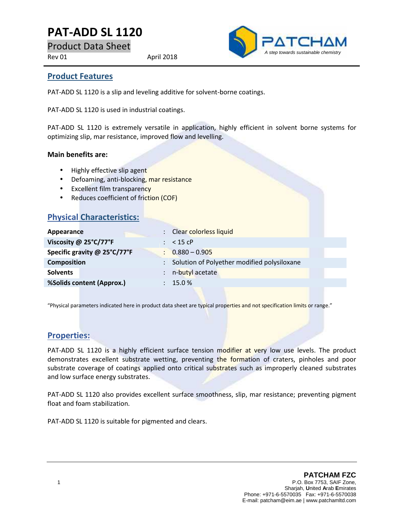# **PAT-ADD SL 1120**

Product Data Sheet

Rev 01 April 2018



#### **Product Features**

PAT-ADD SL 1120 is a slip and leveling additive for solvent-borne coatings.

PAT-ADD SL 1120 is used in industrial coatings.

PAT-ADD SL 1120 is extremely versatile in application, highly efficient in solvent borne systems for optimizing slip, mar resistance, improved flow and levelling.

#### **Main benefits are:**

- Highly effective slip agent
- Defoaming, anti-blocking, mar resistance
- Excellent film transparency
- Reduces coefficient of friction (COF)

## **Physical Characteristics:**

| Appearance                   | : Clear colorless liquid                      |
|------------------------------|-----------------------------------------------|
| Viscosity @ 25°C/77°F        | $:$ < 15 cP                                   |
| Specific gravity @ 25°C/77°F | $\frac{1}{2}$ 0.880 - 0.905                   |
| <b>Composition</b>           | : Solution of Polyether modified polysiloxane |
| <b>Solvents</b>              | n-butyl acetate                               |
| %Solids content (Approx.)    | $: 15.0 \%$                                   |
|                              |                                               |

"Physical parameters indicated here in product data sheet are typical properties and not specification limits or range."

## **Properties:**

PAT-ADD SL 1120 is a highly efficient surface tension modifier at very low use levels. The product demonstrates excellent substrate wetting, preventing the formation of craters, pinholes and poor substrate coverage of coatings applied onto critical substrates such as improperly cleaned substrates and low surface energy substrates.

PAT-ADD SL 1120 also provides excellent surface smoothness, slip, mar resistance; preventing pigment float and foam stabilization.

PAT-ADD SL 1120 is suitable for pigmented and clears.